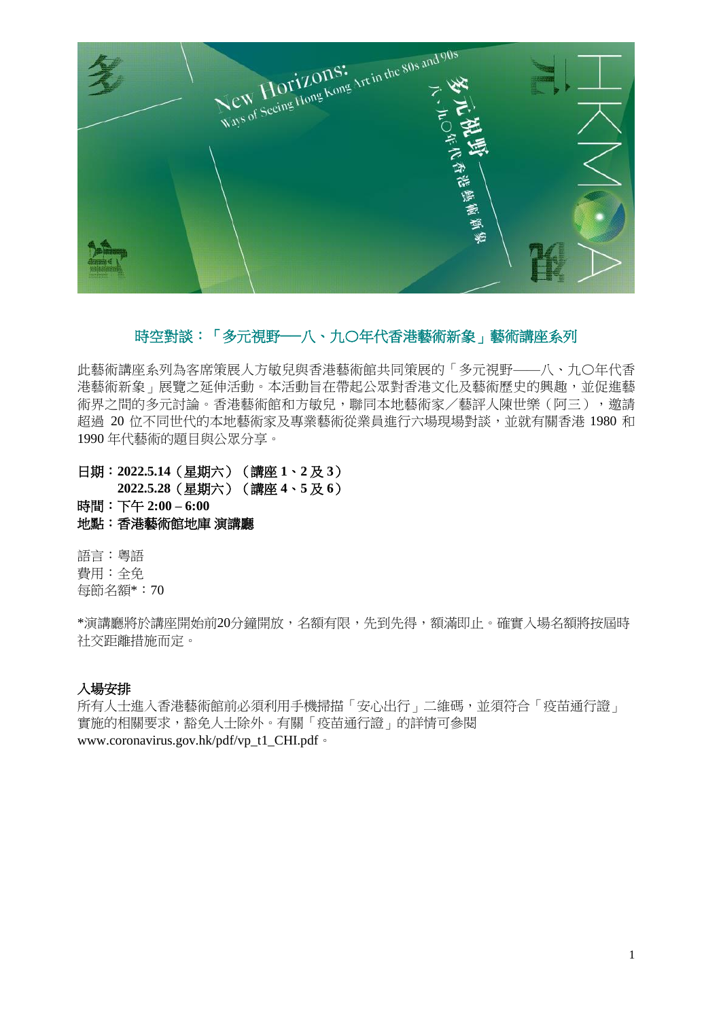

# 時空對談:「多元視野**──**八、九〇年代香港藝術新象」藝術講座系列

此藝術講座系列為客席策展人方敏兒與香港藝術館共同策展的「多元視野——八、九〇年代香 港藝術新象」展覽之延伸活動。本活動旨在帶起公眾對香港文化及藝術歷史的興趣,並促進藝 術界之間的多元討論。香港藝術館和方敏兒,聯同本地藝術家/藝評人陳世樂(阿三),邀請 超過 20 位不同世代的本地藝術家及專業藝術從業員進行六場現場對談,並就有關香港 1980 和 1990 年代藝術的題目與公眾分享。

日期:**2022.5.14**(星期六)(講座 **1**、**2** 及 **3**)  **2022.5.28**(星期六)(講座 **4**、**5** 及 **6**) 時間:下午 **2:00 – 6:00** 地點:香港藝術館地庫 演講廳

語言:粵語 費用:全免 每節名額\*:70

\*演講廳將於講座開始前20分鐘開放,名額有限,先到先得,額滿即止。確實入場名額將按屆時 社交距離措施而定。

# 入場安排

所有人士進入香港藝術館前必須利用手機掃描「安心出行」二維碼,並須符合「疫苗通行證」 實施的相關要求,豁免人士除外。有關「疫苗通行證」的詳情可參閱 www.coronavirus.gov.hk/pdf/vp\_t1\_CHI.pdf。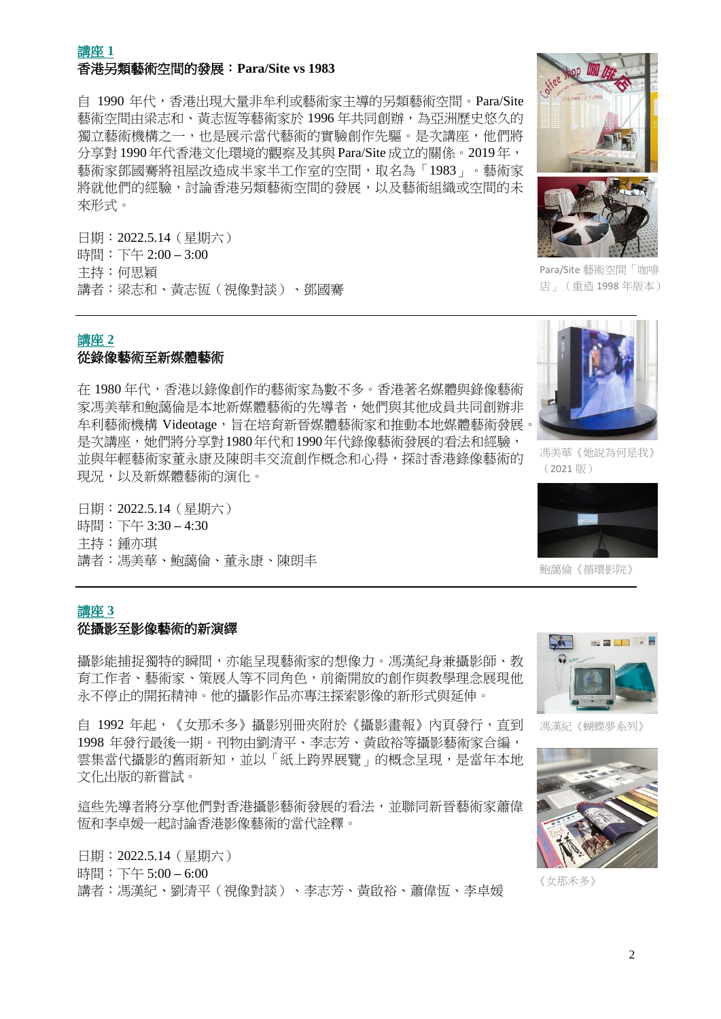# 講座 **1** 香港另類藝術空間的發展:**Para/Site vs 1983**

自 1990 年代,香港出現大量非牟利或藝術家主導的另類藝術空間。Para/Site 藝術空間由梁志和、黃志恆等藝術家於 1996 年共同創辦,為亞洲歷史悠久的 獨立藝術機構之一,也是展示當代藝術的實驗創作先驅。是次講座,他們將 分享對 1990年代香港文化環境的觀察及其與 Para/Site 成立的關係。2019年, 藝術家鄧國騫將祖屋改造成半家半工作室的空間,取名為「1983」。藝術家 將就他們的經驗,討論香港另類藝術空間的發展,以及藝術組織或空間的未 來形式。

日期:2022.5.14(星期六) 時間:下午 2:00 **–** 3:00 主持:何思穎 講者:梁志和、黃志恆(視像對談)、鄧國騫

## 講座 **2**

#### 從錄像藝術至新媒體藝術

在 1980 年代,香港以錄像創作的藝術家為數不多。香港著名媒體與錄像藝術 家馮美華和鮑藹倫是本地新媒體藝術的先導者,她們與其他成員共同創辦非 牟利藝術機構 Videotage,旨在培育新晉媒體藝術家和推動本地媒體藝術發展。 是次講座,她們將分享對1980年代和1990年代錄像藝術發展的看法和經驗, 並與年輕藝術家董永康及陳朗丰交流創作概念和心得,探討香港錄像藝術的 現況,以及新媒體藝術的演化。

日期:2022.5.14(星期六) 時間:下午 3:30 **–** 4:30 主持:鍾亦琪 講者:馮美華、鮑藹倫、董永康、陳朗丰

# 講座 **3**

從攝影至影像藝術的新演繹

攝影能捕捉獨特的瞬間,亦能呈現藝術家的想像力。馮漢紀身兼攝影師、教 育工作者、藝術家、策展人等不同角色,前衛開放的創作與教學理念展現他 永不停止的開拓精神。他的攝影作品亦專注探索影像的新形式與延伸。

自 1992 年起,《女那禾多》攝影別冊夾附於《攝影畫報》內頁發行,直到 1998 年發行最後一期。刊物由劉清平、李志芳、黃啟裕等攝影藝術家合編, 雲集當代攝影的舊雨新知,並以「紙上跨界展覽」的概念呈現,是當年本地 文化出版的新嘗試。

這些先導者將分享他們對香港攝影藝術發展的看法,並聯同新晉藝術家蕭偉 恆和李卓媛一起討論香港影像藝術的當代詮釋。

日期:2022.5.14(星期六) 時間: 下午 5:00 – 6:00 講者:馮漢紀、劉清平(視像對談)、李志芳、黃啟裕、蕭偉恆、李卓媛



Para/Site 藝術空間「咖啡 店」(重造 1998 年版本)



馮美華《她說為何是我》 (2021 版)



鮑藹倫《循環影院》



馮漢紀《蝴蝶夢系列》



《女那禾多》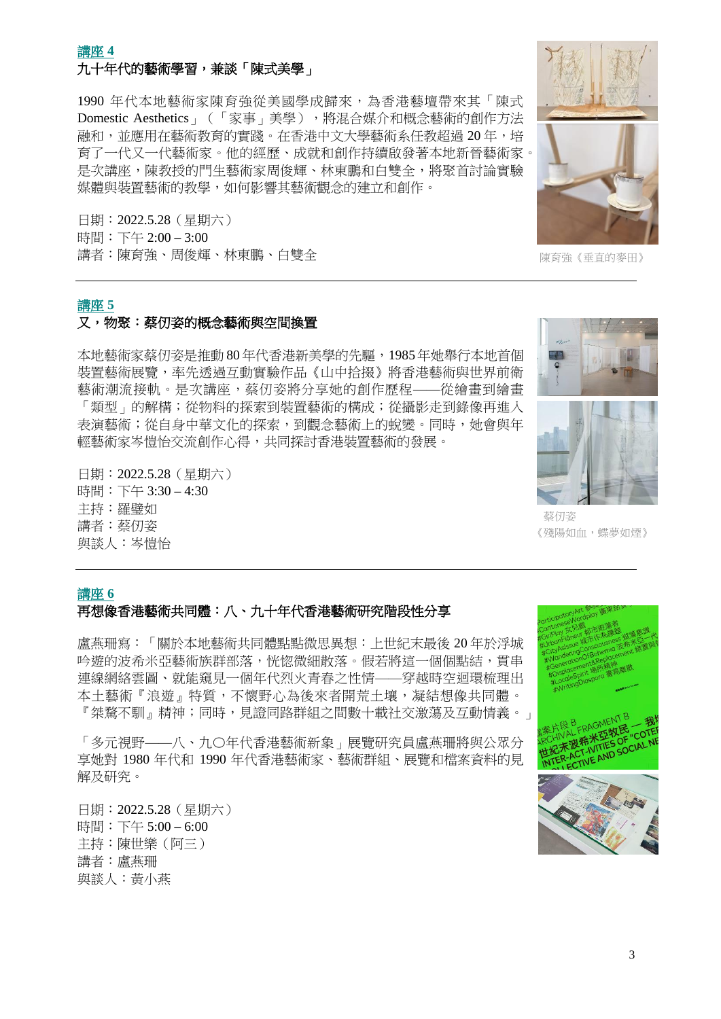## 講座 **4** 九十年代的藝術學習,兼談「陳式美學」

1990 年代本地藝術家陳育強從美國學成歸來,為香港藝壇帶來其「陳式 Domestic Aesthetics」(「家事」美學),將混合媒介和概念藝術的創作方法 融和,並應用在藝術教育的實踐。在香港中文大學藝術系任教超過 20年,培 育了一代又一代藝術家。他的經歷、成就和創作持續啟發著本地新晉藝術家。 是次講座,陳教授的門生藝術家周俊輝、林東鵬和白雙全,將聚首討論實驗 媒體與裝置藝術的教學,如何影響其藝術觀念的建立和創作。

日期:2022.5.28(星期六) 時間:下午 2:00 **–** 3:00 講者:陳育強、周俊輝、林東鵬、白雙全

#### 講座 **5**

#### 又,物聚:蔡仞姿的概念藝術與空間換置

本地藝術家蔡仞姿是推動 80年代香港新美學的先驅,1985年她舉行本地首個 裝置藝術展覽,率先透過互動實驗作品《山中拾掇》將香港藝術與世界前衛 藝術潮流接軌。是次講座,蔡仞姿將分享她的創作歷程——從繪書到繪書 「類型」的解構;從物料的探索到裝置藝術的構成;從攝影走到錄像再進入 表演藝術;從自身中華文化的探索,到觀念藝術上的蛻變。同時,她會與年 輕藝術家岑愷怡交流創作心得,共同探討香港裝置藝術的發展。

日期:2022.5.28(星期六) 時間:下午 3:30 **–** 4:30 主持:羅璧如 講者:蔡仞姿 與談人:岑愷怡



陳育強《垂直的麥田》



蔡仞姿 《殘陽如血,蝶夢如煙》

#### 講座 **6**

## 再想像香港藝術共同體:八、九十年代香港藝術研究階段性分享

盧燕珊寫:「關於本地藝術共同體點點微思異想:上世紀末最後 20 年於浮城 吟遊的波希米亞藝術族群部落,恍惚微細散落。假若將這一個個點結,貫串 連線網絡雲圖、就能窺見一個年代烈火青春之性情——穿越時空迴環梳理出 本土藝術『浪遊』特質,不懷野心為後來者開荒土壤,凝結想像共同體。 『桀蝥不馴』精神;同時,見證同路群組之間數十載社交激蕩及互動情義。」

「多元視野——八、九〇年代香港藝術新象」展覽研究員盧燕珊將與公眾分 享她對 1980 年代和 1990 年代香港藝術家、藝術群組、展覽和檔案資料的見 解及研究。

日期:2022.5.28(星期六) 時間: 下午 5:00 – 6:00 主持:陳世樂(阿三) 講者:盧燕珊 與談人:黃小燕

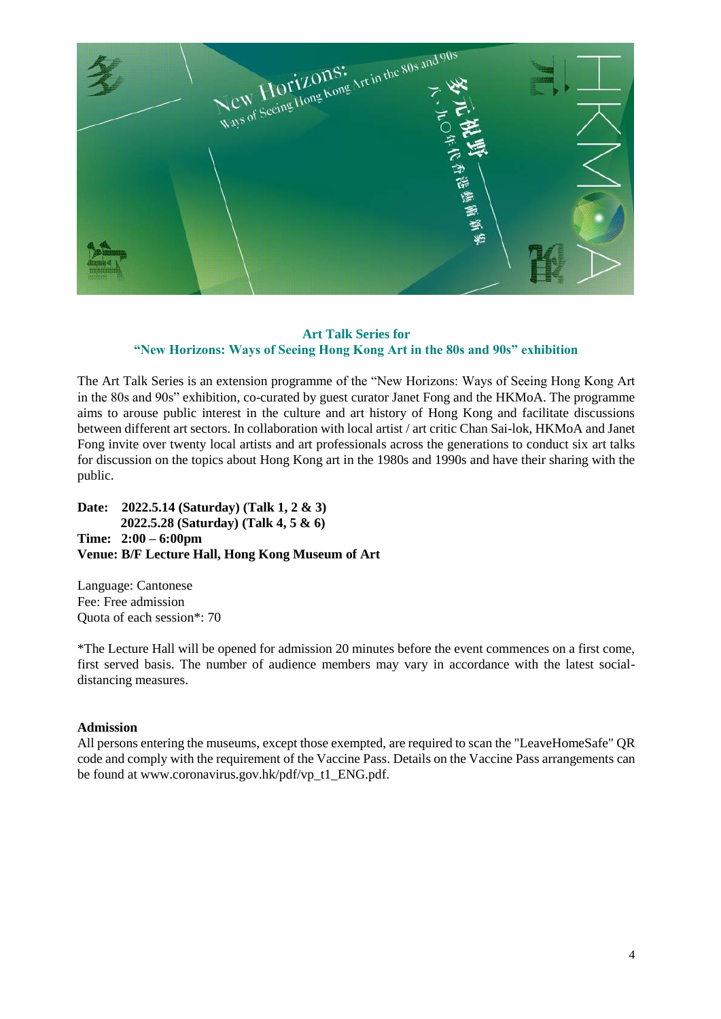

#### **Art Talk Series for "New Horizons: Ways of Seeing Hong Kong Art in the 80s and 90s" exhibition**

The Art Talk Series is an extension programme of the "New Horizons: Ways of Seeing Hong Kong Art in the 80s and 90s" exhibition, co-curated by guest curator Janet Fong and the HKMoA. The programme aims to arouse public interest in the culture and art history of Hong Kong and facilitate discussions between different art sectors. In collaboration with local artist / art critic Chan Sai-lok, HKMoA and Janet Fong invite over twenty local artists and art professionals across the generations to conduct six art talks for discussion on the topics about Hong Kong art in the 1980s and 1990s and have their sharing with the public.

**Date: 2022.5.14 (Saturday) (Talk 1, 2 & 3) 2022.5.28 (Saturday) (Talk 4, 5 & 6) Time: 2:00 – 6:00pm Venue: B/F Lecture Hall, Hong Kong Museum of Art**

Language: Cantonese Fee: Free admission Quota of each session\*: 70

\*The Lecture Hall will be opened for admission 20 minutes before the event commences on a first come, first served basis. The number of audience members may vary in accordance with the latest socialdistancing measures.

#### **Admission**

All persons entering the museums, except those exempted, are required to scan the "LeaveHomeSafe" QR code and comply with the requirement of the Vaccine Pass. Details on the Vaccine Pass arrangements can be found at www.coronavirus.gov.hk/pdf/vp\_t1\_ENG.pdf.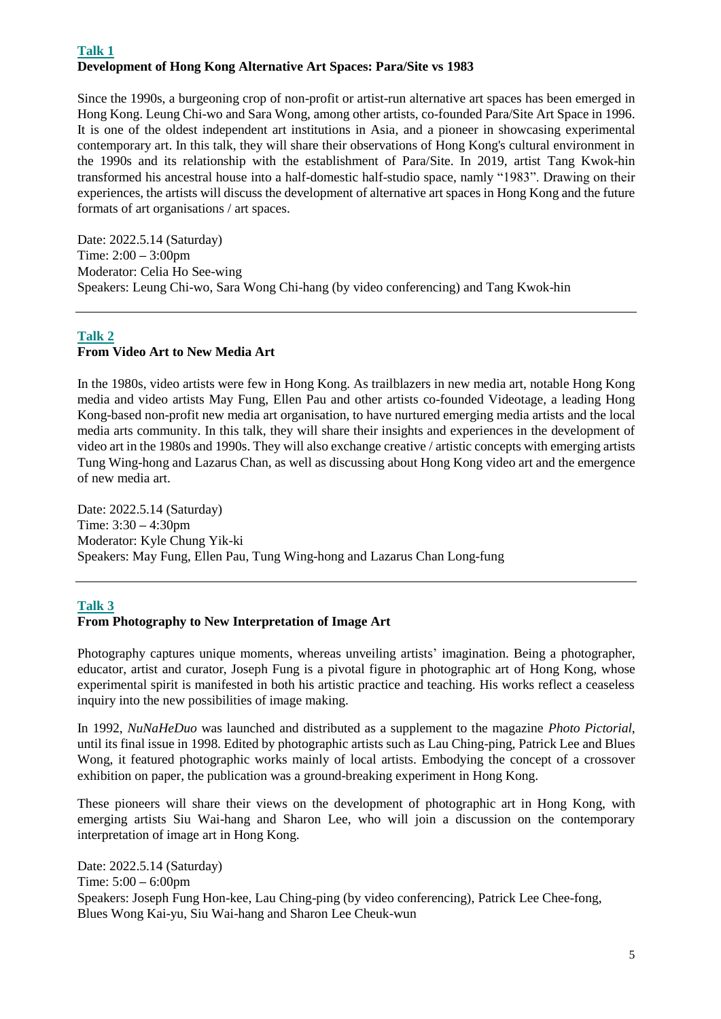# **Talk 1 Development of Hong Kong Alternative Art Spaces: Para/Site vs 1983**

Since the 1990s, a burgeoning crop of non-profit or artist-run alternative art spaces has been emerged in Hong Kong. Leung Chi-wo and Sara Wong, among other artists, co-founded Para/Site Art Space in 1996. It is one of the oldest independent art institutions in Asia, and a pioneer in showcasing experimental contemporary art. In this talk, they will share their observations of Hong Kong's cultural environment in the 1990s and its relationship with the establishment of Para/Site. In 2019, artist Tang Kwok-hin transformed his ancestral house into a half-domestic half-studio space, namly "1983". Drawing on their experiences, the artists will discuss the development of alternative art spaces in Hong Kong and the future formats of art organisations / art spaces.

Date: 2022.5.14 (Saturday) Time: 2:00 **–** 3:00pm Moderator: Celia Ho See-wing Speakers: Leung Chi-wo, Sara Wong Chi-hang (by video conferencing) and Tang Kwok-hin

# **Talk 2 From Video Art to New Media Art**

In the 1980s, video artists were few in Hong Kong. As trailblazers in new media art, notable Hong Kong media and video artists May Fung, Ellen Pau and other artists co-founded Videotage, a leading Hong Kong-based non-profit new media art organisation, to have nurtured emerging media artists and the local media arts community. In this talk, they will share their insights and experiences in the development of video art in the 1980s and 1990s. They will also exchange creative / artistic concepts with emerging artists Tung Wing-hong and Lazarus Chan, as well as discussing about Hong Kong video art and the emergence of new media art.

Date: 2022.5.14 (Saturday) Time: 3:30 **–** 4:30pm Moderator: Kyle Chung Yik-ki Speakers: May Fung, Ellen Pau, Tung Wing-hong and Lazarus Chan Long-fung

## **Talk 3**

# **From Photography to New Interpretation of Image Art**

Photography captures unique moments, whereas unveiling artists' imagination. Being a photographer, educator, artist and curator, Joseph Fung is a pivotal figure in photographic art of Hong Kong, whose experimental spirit is manifested in both his artistic practice and teaching. His works reflect a ceaseless inquiry into the new possibilities of image making.

In 1992, *NuNaHeDuo* was launched and distributed as a supplement to the magazine *Photo Pictorial*, until its final issue in 1998. Edited by photographic artists such as Lau Ching-ping, Patrick Lee and Blues Wong, it featured photographic works mainly of local artists. Embodying the concept of a crossover exhibition on paper, the publication was a ground-breaking experiment in Hong Kong.

These pioneers will share their views on the development of photographic art in Hong Kong, with emerging artists Siu Wai-hang and Sharon Lee, who will join a discussion on the contemporary interpretation of image art in Hong Kong.

Date: 2022.5.14 (Saturday) Time: 5:00 **–** 6:00pm Speakers: Joseph Fung Hon-kee, Lau Ching-ping (by video conferencing), Patrick Lee Chee-fong, Blues Wong Kai-yu, Siu Wai-hang and Sharon Lee Cheuk-wun